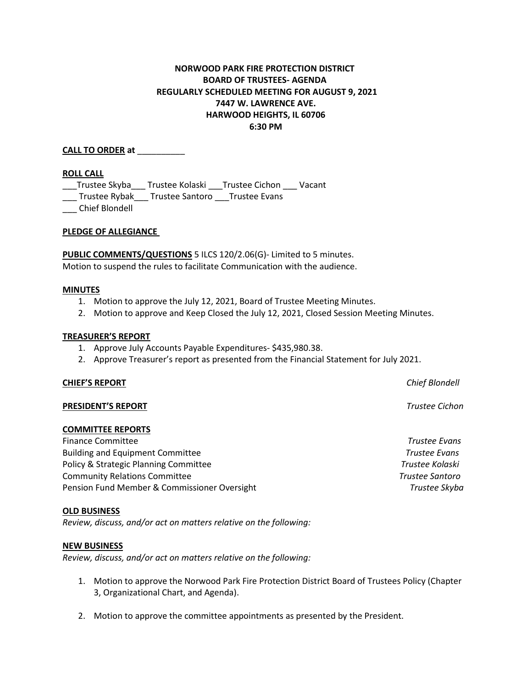# **NORWOOD PARK FIRE PROTECTION DISTRICT BOARD OF TRUSTEES- AGENDA REGULARLY SCHEDULED MEETING FOR AUGUST 9, 2021 7447 W. LAWRENCE AVE. HARWOOD HEIGHTS, IL 60706 6:30 PM**

## **CALL TO ORDER at** \_\_\_\_\_\_\_\_\_\_

## **ROLL CALL**

\_\_\_Trustee Skyba\_\_\_ Trustee Kolaski \_\_\_Trustee Cichon \_\_\_ Vacant

\_\_\_ Trustee Rybak\_\_\_ Trustee Santoro \_\_\_Trustee Evans

\_\_\_ Chief Blondell

## **PLEDGE OF ALLEGIANCE**

**PUBLIC COMMENTS/QUESTIONS** 5 ILCS 120/2.06(G)- Limited to 5 minutes. Motion to suspend the rules to facilitate Communication with the audience.

## **MINUTES**

- 1. Motion to approve the July 12, 2021, Board of Trustee Meeting Minutes.
- 2. Motion to approve and Keep Closed the July 12, 2021, Closed Session Meeting Minutes.

## **TREASURER'S REPORT**

- 1. Approve July Accounts Payable Expenditures- \$435,980.38.
- 2. Approve Treasurer's report as presented from the Financial Statement for July 2021.

## **CHIEF'S REPORT** *Chief Blondell*

## **PRESIDENT'S REPORT** *Trustee Cichon*

## **COMMITTEE REPORTS**

Finance Committee *Trustee Evans* Building and Equipment Committee *Trustee Evans* Policy & Strategic Planning Committee *Trustee Kolaski* Community Relations Committee *Trustee Santoro* Pension Fund Member & Commissioner Oversight *Trustee Skyba*

## **OLD BUSINESS**

*Review, discuss, and/or act on matters relative on the following:*

## **NEW BUSINESS**

*Review, discuss, and/or act on matters relative on the following:*

- 1. Motion to approve the Norwood Park Fire Protection District Board of Trustees Policy (Chapter 3, Organizational Chart, and Agenda).
- 2. Motion to approve the committee appointments as presented by the President.